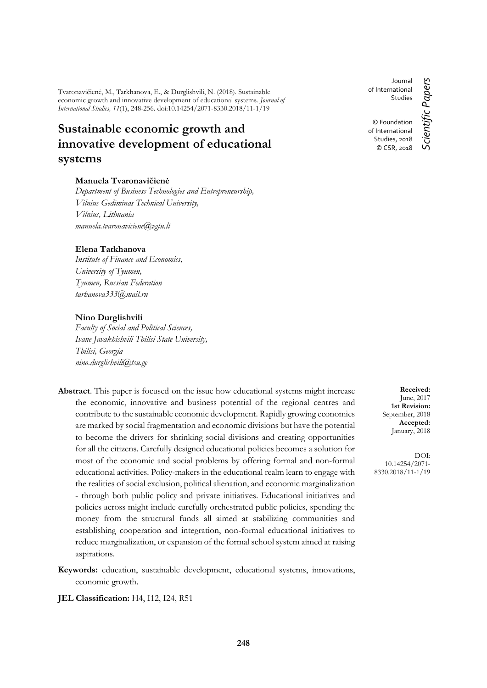Tvaronavičienė, M., Tarkhanova, E., & Durglishvili, N. (2018). Sustainable economic growth and innovative development of educational systems. *Journal of International Studies, 11*(1), 248-256. doi:10.14254/2071-8330.2018/11-1/19

# **Sustainable economic growth and innovative development of educational systems**

## **Manuela Tvaronavičienė**

*Department of Business Technologies and Entrepreneurship, Vilnius Gediminas Technical University, Vilnius, Lithuania manuela.tvaronaviciene@vgtu.lt*

## **Elena Tarkhanova**

*Institute of Finance and Economics, University of Tyumen, Tyumen, Russian Federation tarhanova333@mail.ru*

## **Nino Durglishvili**

*Faculty of Social and Political Sciences, Ivane Javakhishvili Tbilisi State University, Tbilisi, Georgia nino.durglishvili@tsu.ge*

- **Abstract**. This paper is focused on the issue how educational systems might increase the economic, innovative and business potential of the regional centres and contribute to the sustainable economic development. Rapidly growing economies are marked by social fragmentation and economic divisions but have the potential to become the drivers for shrinking social divisions and creating opportunities for all the citizens. Carefully designed educational policies becomes a solution for most of the economic and social problems by offering formal and non-formal educational activities. Policy-makers in the educational realm learn to engage with the realities of social exclusion, political alienation, and economic marginalization - through both public policy and private initiatives. Educational initiatives and policies across might include carefully orchestrated public policies, spending the money from the structural funds all aimed at stabilizing communities and establishing cooperation and integration, non-formal educational initiatives to reduce marginalization, or expansion of the formal school system aimed at raising aspirations.
- **Keywords:** education, sustainable development, educational systems, innovations, economic growth.

**JEL Classification:** H4, I12, I24, R51

**Received:** June, 2017 **1st Revision:** September, 2018 **Accepted:** January, 2018

DOI: 10.14254/2071- 8330.2018/11-1/19

© Foundation of International Studies, 2018 © CSR, 2018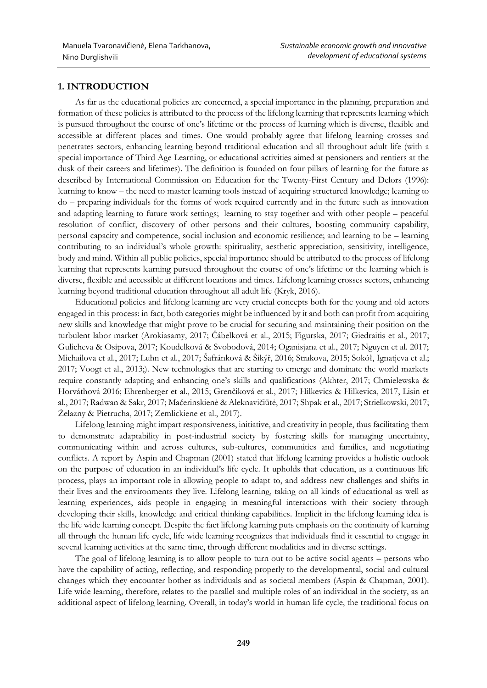# **1. INTRODUCTION**

As far as the educational policies are concerned, a special importance in the planning, preparation and formation of these policies is attributed to the process of the lifelong learning that represents learning which is pursued throughout the course of one's lifetime or the process of learning which is diverse, flexible and accessible at different places and times. One would probably agree that lifelong learning crosses and penetrates sectors, enhancing learning beyond traditional education and all throughout adult life (with a special importance of Third Age Learning, or educational activities aimed at pensioners and rentiers at the dusk of their careers and lifetimes). The definition is founded on four pillars of learning for the future as described by International Commission on Education for the Twenty-First Century and Delors (1996): learning to know – the need to master learning tools instead of acquiring structured knowledge; learning to do – preparing individuals for the forms of work required currently and in the future such as innovation and adapting learning to future work settings; learning to stay together and with other people – peaceful resolution of conflict, discovery of other persons and their cultures, boosting community capability, personal capacity and competence, social inclusion and economic resilience; and learning to be – learning contributing to an individual's whole growth: spirituality, aesthetic appreciation, sensitivity, intelligence, body and mind. Within all public policies, special importance should be attributed to the process of lifelong learning that represents learning pursued throughout the course of one's lifetime or the learning which is diverse, flexible and accessible at different locations and times. Lifelong learning crosses sectors, enhancing learning beyond traditional education throughout all adult life (Kryk, 2016).

Educational policies and lifelong learning are very crucial concepts both for the young and old actors engaged in this process: in fact, both categories might be influenced by it and both can profit from acquiring new skills and knowledge that might prove to be crucial for securing and maintaining their position on the turbulent labor market (Arokiasamy, 2017; Čábelková et al., 2015; Figurska, 2017; Giedraitis et al., 2017; Gulicheva & Osipova, 2017; Koudelková & Svobodová, 2014; Oganisjana et al., 2017; Nguyen et al. 2017; Michailova et al., 2017; Luhn et al., 2017; Šafránková & Šikýř, 2016; Strakova, 2015; Sokół, Ignatjeva et al.; 2017; Voogt et al., 2013;). New technologies that are starting to emerge and dominate the world markets require constantly adapting and enhancing one's skills and qualifications (Akhter, 2017; Chmielewska & Horváthová 2016; Ehrenberger et al., 2015; Grenčiková et al., 2017; Hilkevics & Hilkevica, 2017, Lisin et al., 2017; Radwan & Sakr, 2017; Mačerinskienė & Aleknavičiūtė, 2017; Shpak et al., 2017; Strielkowski, 2017; Żelazny & Pietrucha, 2017; Zemlickiene et al., 2017).

Lifelong learning might impart responsiveness, initiative, and creativity in people, thus facilitating them to demonstrate adaptability in post-industrial society by fostering skills for managing uncertainty, communicating within and across cultures, sub-cultures, communities and families, and negotiating conflicts. A report by Aspin and Chapman (2001) stated that lifelong learning provides a holistic outlook on the purpose of education in an individual's life cycle. It upholds that education, as a continuous life process, plays an important role in allowing people to adapt to, and address new challenges and shifts in their lives and the environments they live. Lifelong learning, taking on all kinds of educational as well as learning experiences, aids people in engaging in meaningful interactions with their society through developing their skills, knowledge and critical thinking capabilities. Implicit in the lifelong learning idea is the life wide learning concept. Despite the fact lifelong learning puts emphasis on the continuity of learning all through the human life cycle, life wide learning recognizes that individuals find it essential to engage in several learning activities at the same time, through different modalities and in diverse settings.

The goal of lifelong learning is to allow people to turn out to be active social agents – persons who have the capability of acting, reflecting, and responding properly to the developmental, social and cultural changes which they encounter bother as individuals and as societal members (Aspin & Chapman, 2001). Life wide learning, therefore, relates to the parallel and multiple roles of an individual in the society, as an additional aspect of lifelong learning. Overall, in today's world in human life cycle, the traditional focus on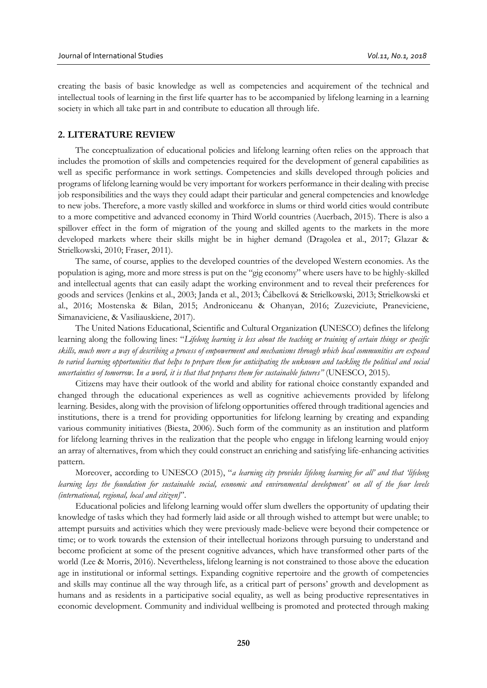creating the basis of basic knowledge as well as competencies and acquirement of the technical and intellectual tools of learning in the first life quarter has to be accompanied by lifelong learning in a learning society in which all take part in and contribute to education all through life.

### **2. LITERATURE REVIEW**

The conceptualization of educational policies and lifelong learning often relies on the approach that includes the promotion of skills and competencies required for the development of general capabilities as well as specific performance in work settings. Competencies and skills developed through policies and programs of lifelong learning would be very important for workers performance in their dealing with precise job responsibilities and the ways they could adapt their particular and general competencies and knowledge to new jobs. Therefore, a more vastly skilled and workforce in slums or third world cities would contribute to a more competitive and advanced economy in Third World countries (Auerbach, 2015). There is also a spillover effect in the form of migration of the young and skilled agents to the markets in the more developed markets where their skills might be in higher demand (Dragolea et al., 2017; Glazar & Strielkowski, 2010; Fraser, 2011).

The same, of course, applies to the developed countries of the developed Western economies. As the population is aging, more and more stress is put on the "gig economy" where users have to be highly-skilled and intellectual agents that can easily adapt the working environment and to reveal their preferences for goods and services (Jenkins et al., 2003; Janda et al., 2013; Čábelková & Strielkowski, 2013; Strielkowski et al., 2016; Mostenska & Bilan, 2015; Androniceanu & Ohanyan, 2016; Zuzeviciute, Praneviciene, Simanaviciene, & Vasiliauskiene, 2017).

The United Nations Educational, Scientific and Cultural Organization **(**UNESCO) defines the lifelong learning along the following lines: "*Lifelong learning is less about the teaching or training of certain things or specific skills, much more a way of describing a process of empowerment and mechanisms through which local communities are exposed to varied learning opportunities that helps to prepare them for anticipating the unknown and tackling the political and social uncertainties of tomorrow. In a word, it is that that prepares them for sustainable futures"* (UNESCO, 2015)*.* 

Citizens may have their outlook of the world and ability for rational choice constantly expanded and changed through the educational experiences as well as cognitive achievements provided by lifelong learning. Besides, along with the provision of lifelong opportunities offered through traditional agencies and institutions, there is a trend for providing opportunities for lifelong learning by creating and expanding various community initiatives (Biesta, 2006). Such form of the community as an institution and platform for lifelong learning thrives in the realization that the people who engage in lifelong learning would enjoy an array of alternatives, from which they could construct an enriching and satisfying life-enhancing activities pattern.

Moreover, according to UNESCO (2015), "*a learning city provides lifelong learning for all' and that 'lifelong learning lays the foundation for sustainable social, economic and environmental development' on all of the four levels (international, regional, local and citizen)*".

Educational policies and lifelong learning would offer slum dwellers the opportunity of updating their knowledge of tasks which they had formerly laid aside or all through wished to attempt but were unable; to attempt pursuits and activities which they were previously made-believe were beyond their competence or time; or to work towards the extension of their intellectual horizons through pursuing to understand and become proficient at some of the present cognitive advances, which have transformed other parts of the world (Lee & Morris, 2016). Nevertheless, lifelong learning is not constrained to those above the education age in institutional or informal settings. Expanding cognitive repertoire and the growth of competencies and skills may continue all the way through life, as a critical part of persons' growth and development as humans and as residents in a participative social equality, as well as being productive representatives in economic development. Community and individual wellbeing is promoted and protected through making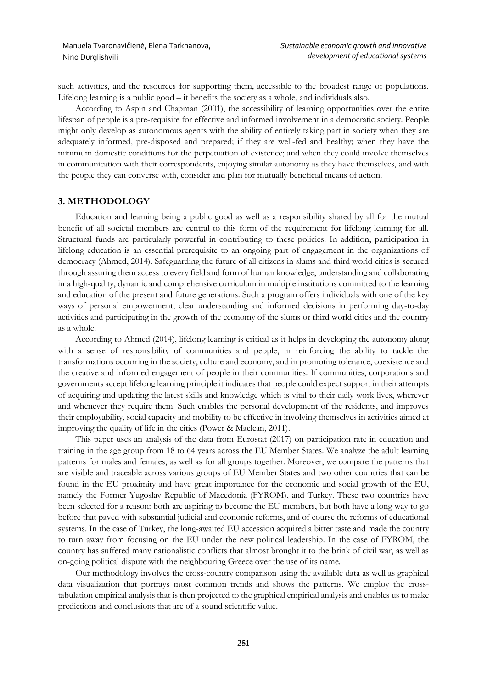such activities, and the resources for supporting them, accessible to the broadest range of populations. Lifelong learning is a public good – it benefits the society as a whole, and individuals also.

According to Aspin and Chapman (2001), the accessibility of learning opportunities over the entire lifespan of people is a pre-requisite for effective and informed involvement in a democratic society. People might only develop as autonomous agents with the ability of entirely taking part in society when they are adequately informed, pre-disposed and prepared; if they are well-fed and healthy; when they have the minimum domestic conditions for the perpetuation of existence; and when they could involve themselves in communication with their correspondents, enjoying similar autonomy as they have themselves, and with the people they can converse with, consider and plan for mutually beneficial means of action.

## **3. METHODOLOGY**

Education and learning being a public good as well as a responsibility shared by all for the mutual benefit of all societal members are central to this form of the requirement for lifelong learning for all. Structural funds are particularly powerful in contributing to these policies. In addition, participation in lifelong education is an essential prerequisite to an ongoing part of engagement in the organizations of democracy (Ahmed, 2014). Safeguarding the future of all citizens in slums and third world cities is secured through assuring them access to every field and form of human knowledge, understanding and collaborating in a high-quality, dynamic and comprehensive curriculum in multiple institutions committed to the learning and education of the present and future generations. Such a program offers individuals with one of the key ways of personal empowerment, clear understanding and informed decisions in performing day-to-day activities and participating in the growth of the economy of the slums or third world cities and the country as a whole.

According to Ahmed (2014), lifelong learning is critical as it helps in developing the autonomy along with a sense of responsibility of communities and people, in reinforcing the ability to tackle the transformations occurring in the society, culture and economy, and in promoting tolerance, coexistence and the creative and informed engagement of people in their communities. If communities, corporations and governments accept lifelong learning principle it indicates that people could expect support in their attempts of acquiring and updating the latest skills and knowledge which is vital to their daily work lives, wherever and whenever they require them. Such enables the personal development of the residents, and improves their employability, social capacity and mobility to be effective in involving themselves in activities aimed at improving the quality of life in the cities (Power & Maclean, 2011).

This paper uses an analysis of the data from Eurostat (2017) on participation rate in education and training in the age group from 18 to 64 years across the EU Member States. We analyze the adult learning patterns for males and females, as well as for all groups together. Moreover, we compare the patterns that are visible and traceable across various groups of EU Member States and two other countries that can be found in the EU proximity and have great importance for the economic and social growth of the EU, namely the Former Yugoslav Republic of Macedonia (FYROM), and Turkey. These two countries have been selected for a reason: both are aspiring to become the EU members, but both have a long way to go before that paved with substantial judicial and economic reforms, and of course the reforms of educational systems. In the case of Turkey, the long-awaited EU accession acquired a bitter taste and made the country to turn away from focusing on the EU under the new political leadership. In the case of FYROM, the country has suffered many nationalistic conflicts that almost brought it to the brink of civil war, as well as on-going political dispute with the neighbouring Greece over the use of its name.

Our methodology involves the cross-country comparison using the available data as well as graphical data visualization that portrays most common trends and shows the patterns. We employ the crosstabulation empirical analysis that is then projected to the graphical empirical analysis and enables us to make predictions and conclusions that are of a sound scientific value.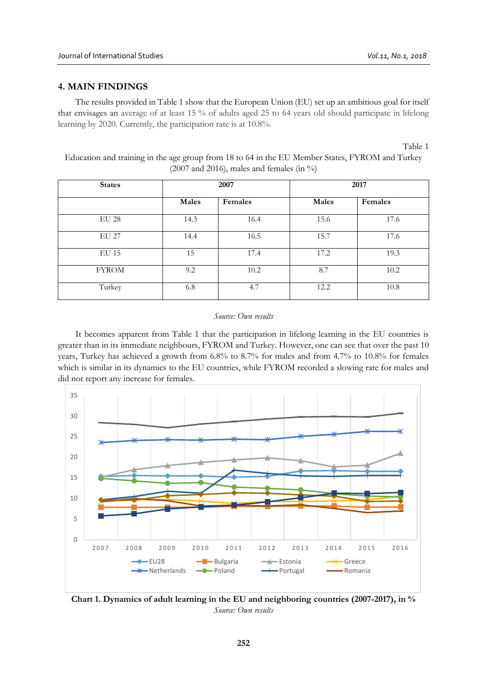# **4. MAIN FINDINGS**

The results provided in Table 1 show that the European Union (EU) set up an ambitious goal for itself that envisages an average of at least 15 % of adults aged 25 to 64 years old should participate in lifelong learning by 2020. Currently, the participation rate is at 10.8%.

Table 1

Education and training in the age group from 18 to 64 in the EU Member States, FYROM and Turkey (2007 and 2016), males and females (in  $\%$ )

| <b>States</b> | 2007  |         | 2017         |         |
|---------------|-------|---------|--------------|---------|
|               | Males | Females | <b>Males</b> | Females |
| <b>EU 28</b>  | 14.3  | 16.4    | 15.6         | 17.6    |
| <b>EU 27</b>  | 14.4  | 16.5    | 15.7         | 17.6    |
| <b>EU 15</b>  | 15    | 17.4    | 17.2         | 19.3    |
| <b>FYROM</b>  | 9.2   | 10.2    | 8.7          | 10.2    |
| Turkey        | 6.8   | 4.7     | 12.2         | 10.8    |

#### *Source: Own results*

It becomes apparent from Table 1 that the participation in lifelong learning in the EU countries is greater than in its immediate neighbours, FYROM and Turkey. However, one can see that over the past 10 years, Turkey has achieved a growth from 6.8% to 8.7% for males and from 4.7% to 10.8% for females which is similar in its dynamics to the EU countries, while FYROM recorded a slowing rate for males and did not report any increase for females.



**Chart 1. Dynamics of adult learning in the EU and neighboring countries (2007-2017), in %** *Source: Own results*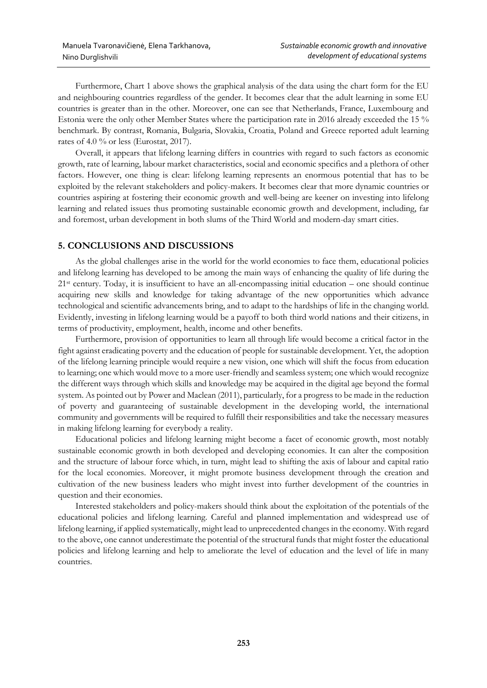Furthermore, Chart 1 above shows the graphical analysis of the data using the chart form for the EU and neighbouring countries regardless of the gender. It becomes clear that the adult learning in some EU countries is greater than in the other. Moreover, one can see that Netherlands, France, Luxembourg and Estonia were the only other Member States where the participation rate in 2016 already exceeded the 15 % benchmark. By contrast, Romania, Bulgaria, Slovakia, Croatia, Poland and Greece reported adult learning rates of 4.0 % or less (Eurostat, 2017).

Overall, it appears that lifelong learning differs in countries with regard to such factors as economic growth, rate of learning, labour market characteristics, social and economic specifics and a plethora of other factors. However, one thing is clear: lifelong learning represents an enormous potential that has to be exploited by the relevant stakeholders and policy-makers. It becomes clear that more dynamic countries or countries aspiring at fostering their economic growth and well-being are keener on investing into lifelong learning and related issues thus promoting sustainable economic growth and development, including, far and foremost, urban development in both slums of the Third World and modern-day smart cities.

# **5. CONCLUSIONS AND DISCUSSIONS**

As the global challenges arise in the world for the world economies to face them, educational policies and lifelong learning has developed to be among the main ways of enhancing the quality of life during the 21st century. Today, it is insufficient to have an all-encompassing initial education – one should continue acquiring new skills and knowledge for taking advantage of the new opportunities which advance technological and scientific advancements bring, and to adapt to the hardships of life in the changing world. Evidently, investing in lifelong learning would be a payoff to both third world nations and their citizens, in terms of productivity, employment, health, income and other benefits.

Furthermore, provision of opportunities to learn all through life would become a critical factor in the fight against eradicating poverty and the education of people for sustainable development. Yet, the adoption of the lifelong learning principle would require a new vision, one which will shift the focus from education to learning; one which would move to a more user-friendly and seamless system; one which would recognize the different ways through which skills and knowledge may be acquired in the digital age beyond the formal system. As pointed out by Power and Maclean (2011), particularly, for a progress to be made in the reduction of poverty and guaranteeing of sustainable development in the developing world, the international community and governments will be required to fulfill their responsibilities and take the necessary measures in making lifelong learning for everybody a reality.

Educational policies and lifelong learning might become a facet of economic growth, most notably sustainable economic growth in both developed and developing economies. It can alter the composition and the structure of labour force which, in turn, might lead to shifting the axis of labour and capital ratio for the local economies. Moreover, it might promote business development through the creation and cultivation of the new business leaders who might invest into further development of the countries in question and their economies.

Interested stakeholders and policy-makers should think about the exploitation of the potentials of the educational policies and lifelong learning. Careful and planned implementation and widespread use of lifelong learning, if applied systematically, might lead to unprecedented changes in the economy. With regard to the above, one cannot underestimate the potential of the structural funds that might foster the educational policies and lifelong learning and help to ameliorate the level of education and the level of life in many countries.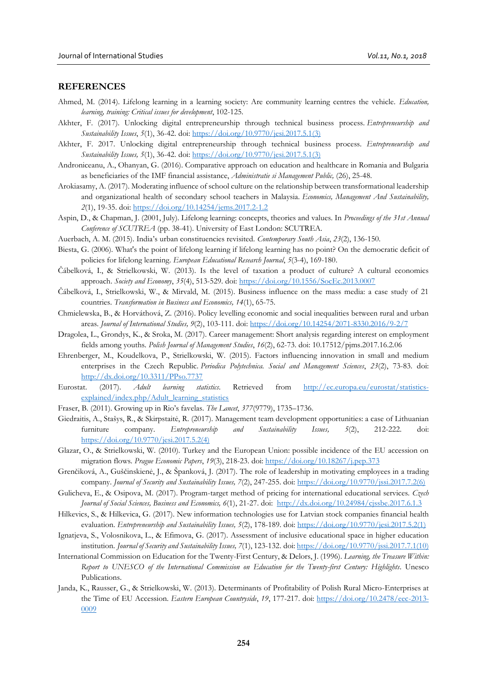## **REFERENCES**

- Ahmed, M. (2014). Lifelong learning in a learning society: Are community learning centres the vehicle. *Education, learning, training: Critical issues for development*, 102-125.
- Akhter, F. (2017). Unlocking digital entrepreneurship through technical business process. *Entrepreneurship and Sustainability Issues*, *5*(1), 36-42. doi: [https://doi.org/10.9770/jesi.2017.5.1\(3\)](https://doi.org/10.9770/jesi.2017.5.1(3))
- Akhter, F. 2017. Unlocking digital entrepreneurship through technical business process. *Entrepreneurship and Sustainability Issues, 5*(1), 36-42. doi: [https://doi.org/10.9770/jesi.2017.5.1\(3\)](https://doi.org/10.9770/jesi.2017.5.1(3))
- Androniceanu, A., Ohanyan, G. (2016). Comparative approach on education and healthcare in Romania and Bulgaria as beneficiaries of the IMF financial assistance, *Administratie si Management Public,* (26), 25-48.
- Arokiasamy, A. (2017). Moderating influence of school culture on the relationship between transformational leadership and organizational health of secondary school teachers in Malaysia. *Economics, Management And Sustainability, 2*(1), 19-35. doi: <https://doi.org/10.14254/jems.2017.2-1.2>
- Aspin, D., & Chapman, J. (2001, July). Lifelong learning: concepts, theories and values. In *Proceedings of the 31st Annual Conference of SCUTREA* (pp. 38-41). University of East London: SCUTREA.
- Auerbach, A. M. (2015). India's urban constituencies revisited. *Contemporary South Asia*, *23*(2), 136-150.
- Biesta, G. (2006). What's the point of lifelong learning if lifelong learning has no point? On the democratic deficit of policies for lifelong learning. *European Educational Research Journal*, *5*(3-4), 169-180.
- Čábelková, I., & Strielkowski, W. (2013). Is the level of taxation a product of culture? A cultural economics approach. *Society and Economy*, *35*(4), 513-529. doi:<https://doi.org/10.1556/SocEc.2013.0007>
- Čábelková, I., Strielkowski, W., & Mirvald, M. (2015). Business influence on the mass media: a case study of 21 countries. *Transformation in Business and Economics, 14*(1), 65-75.
- Chmielewska, B., & Horváthová, Z. (2016). Policy levelling economic and social inequalities between rural and urban areas. *Journal of International Studies, 9*(2), 103-111. doi[: https://doi.org/10.14254/2071-8330.2016/9-2/7](https://doi.org/10.14254/2071-8330.2016/9-2/7)
- Dragolea, L., Grondys, K., & Sroka, M. (2017). Career management: Short analysis regarding interest on employment fields among youths*. Polish Journal of Management Studies*, *16*(2), 62-73. doi: 10.17512/pjms.2017.16.2.06
- Ehrenberger, M., Koudelkova, P., Strielkowski, W. (2015). Factors influencing innovation in small and medium enterprises in the Czech Republic. *Periodica Polytechnica. Social and Management Sciences*, *23*(2), 73-83. doi: <http://dx.doi.org/10.3311/PPso.7737>
- Eurostat. (2017). *Adult learning statistics*. Retrieved from [http://ec.europa.eu/eurostat/statistics](http://ec.europa.eu/eurostat/statistics-explained/index.php/Adult_learning_statistics)[explained/index.php/Adult\\_learning\\_statistics](http://ec.europa.eu/eurostat/statistics-explained/index.php/Adult_learning_statistics)
- Fraser, B. (2011). Growing up in Rio's favelas. *The Lancet*, *377*(9779), 1735–1736.
- Giedraitis, A., Stašys, R., & Skirpstaitė, R. (2017). Management team development opportunities: a case of Lithuanian furniture company. *Entrepreneurship and Sustainability Issues, 5*(2), 212-222. doi: [https://doi.org/10.9770/jesi.2017.5.2\(4\)](https://doi.org/10.9770/jesi.2017.5.2(4))
- Glazar, O., & Strielkowski, W. (2010). Turkey and the European Union: possible incidence of the EU accession on migration flows. *Prague Economic Papers*, *19*(3), 218-23. doi: <https://doi.org/10.18267/j.pep.373>
- Grenčiková, A., Guščinskienė, J., & Španková, J. (2017). The role of leadership in motivating employees in a trading company. *Journal of Security and Sustainability Issues, 7*(2), 247-255. doi: [https://doi.org/10.9770/jssi.2017.7.2\(6\)](https://doi.org/10.9770/jssi.2017.7.2(6))
- Gulicheva, E., & Osipova, M. (2017). Program-target method of pricing for international educational services. *Czech Journal of Social Sciences, Business and Economics, 6*(1), 21-27. doi: <http://dx.doi.org/10.24984/cjssbe.2017.6.1.3>
- Hilkevics, S., & Hilkevica, G. (2017). New information technologies use for Latvian stock companies financial health evaluation. *Entrepreneurship and Sustainability Issues, 5*(2), 178-189. doi: [https://doi.org/10.9770/jesi.2017.5.2\(1\)](https://doi.org/10.9770/jesi.2017.5.2(1))
- Ignatjeva, S., Volosnikova, L., & Efimova, G. (2017). Assessment of inclusive educational space in higher education institution. *Journal of Security and Sustainability Issues, 7*(1), 123-132. doi: [https://doi.org/10.9770/jssi.2017.7.1\(10\)](https://doi.org/10.9770/jssi.2017.7.1(10))
- International Commission on Education for the Twenty-First Century, & Delors, J. (1996). *Learning, the Treasure Within: Report to UNESCO of the International Commission on Education for the Twenty-first Century: Highlights*. Unesco Publications.
- Janda, K., Rausser, G., & Strielkowski, W. (2013). Determinants of Profitability of Polish Rural Micro-Enterprises at the Time of EU Accession. *Eastern European Countryside*, *19*, 177-217. doi: [https://doi.org/10.2478/eec-2013-](https://doi.org/10.2478/eec-2013-0009) [0009](https://doi.org/10.2478/eec-2013-0009)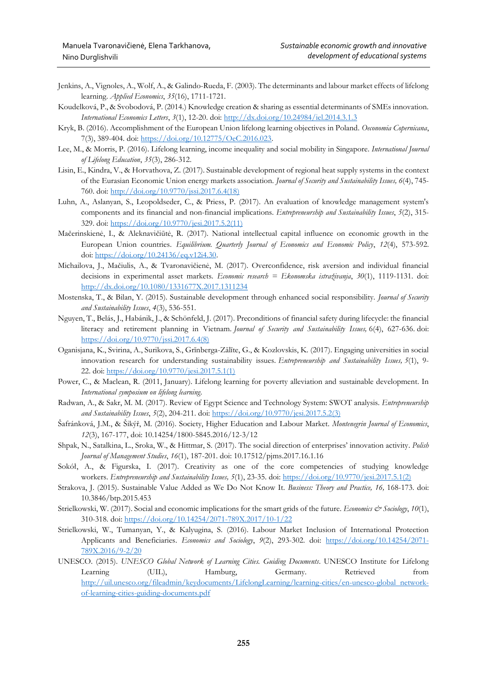- Jenkins, A., Vignoles, A., Wolf, A., & Galindo-Rueda, F. (2003). The determinants and labour market effects of lifelong learning. *Applied Economics*, *35*(16), 1711-1721.
- Koudelková, P., & Svobodová, P. (2014.) Knowledge creation & sharing as essential determinants of SMEs innovation. *International Economics Letters*, *3*(1), 12-20. doi: <http://dx.doi.org/10.24984/iel.2014.3.1.3>
- Kryk, B. (2016). Accomplishment of the European Union lifelong learning objectives in Poland. *Oeconomia Copernicana*, 7(3), 389-404. doi: [https://doi.org/10.12775/OeC.2016.023.](https://doi.org/10.12775/OeC.2016.023)
- Lee, M., & Morris, P. (2016). Lifelong learning, income inequality and social mobility in Singapore. *International Journal of Lifelong Education*, *35*(3), 286-312.
- Lisin, E., Kindra, V., & Horvathova, Z. (2017). Sustainable development of regional heat supply systems in the context of the Eurasian Economic Union energy markets association. *Journal of Security and Sustainability Issues, 6*(4), 745- 760. doi: [http://doi.org/10.9770/jssi.2017.6.4\(18\)](http://doi.org/10.9770/jssi.2017.6.4(18))
- Luhn, A., Aslanyan, S., Leopoldseder, C., & Priess, P. (2017). An evaluation of knowledge management system's components and its financial and non-financial implications. *Entrepreneurship and Sustainability Issues*, *5*(2), 315- 329. doi: [https://doi.org/10.9770/jesi.2017.5.2\(11\)](https://doi.org/10.9770/jesi.2017.5.2(11))
- Mačerinskienė, I., & Aleknavičiūtė, R. (2017). National intellectual capital influence on economic growth in the European Union countries. *Equilibrium. Quarterly Journal of Economics and Economic Policy*, *12*(4), 573-592. doi: [https://doi.org/10.24136/eq.v12i4.30.](https://doi.org/10.24136/eq.v12i4.30)
- Michailova, J., Mačiulis, A., & Tvaronavičienė, M. (2017). Overconfidence, risk aversion and individual financial decisions in experimental asset markets. *Economic research = Ekonomska istraživanja*, *30*(1), 1119-1131. doi: <http://dx.doi.org/10.1080/1331677X.2017.1311234>
- Mostenska, T., & Bilan, Y. (2015). Sustainable development through enhanced social responsibility. *Journal of Security and Sustainability Issues*, *4*(3), 536-551.
- Nguyen, T., Belás, J., Habánik, J., & Schönfeld, J. (2017). Preconditions of financial safety during lifecycle: the financial literacy and retirement planning in Vietnam. *Journal of Security and Sustainability Issues,* 6(4), 627-636. doi: [https://doi.org/10.9770/jssi.2017.6.4\(8\)](https://doi.org/10.9770/jssi.2017.6.4(8))
- Oganisjana, K., Svirina, A., Surikova, S., Grīnberga-Zālīte, G., & Kozlovskis, K. (2017). Engaging universities in social innovation research for understanding sustainability issues. *Entrepreneurship and Sustainability Issues, 5*(1), 9- 22. doi: [https://doi.org/10.9770/jesi.2017.5.1\(1\)](https://doi.org/10.9770/jesi.2017.5.1(1))
- Power, C., & Maclean, R. (2011, January). Lifelong learning for poverty alleviation and sustainable development. In *International symposium on lifelong learning*.
- Radwan, A., & Sakr, M. M. (2017). Review of Egypt Science and Technology System: SWOT analysis. *Entrepreneurship and Sustainability Issues*, *5*(2), 204-211. doi: [https://doi.org/10.9770/jesi.2017.5.2\(3\)](https://doi.org/10.9770/jesi.2017.5.2(3))
- Šafránková, J.M., & Šikýř, M. (2016). Society, Higher Education and Labour Market. *Montenegrin Journal of Economics*, *12*(3), 167-177, doi: 10.14254/1800-5845.2016/12-3/12
- Shpak, N., Satalkina, L., Sroka, W., & Hittmar, S. (2017). The social direction of enterprises' innovation activity. *Polish Journal of Management Studies*, *16*(1), 187-201. doi: 10.17512/pjms.2017.16.1.16
- Sokół, A., & Figurska, I. (2017). Creativity as one of the core competencies of studying knowledge workers. *Entrepreneurship and Sustainability Issues, 5*(1), 23-35. doi: [https://doi.org/10.9770/jesi.2017.5.1\(2\)](https://doi.org/10.9770/jesi.2017.5.1(2))
- Strakova, J. (2015). Sustainable Value Added as We Do Not Know It. *Business: Theory and Practice, 16,* 168-173. doi: 10.3846/btp.2015.453
- Strielkowski, W. (2017). Social and economic implications for the smart grids of the future. *Economics & Sociology*, 10(1), 310-318. doi: <https://doi.org/10.14254/2071-789X.2017/10-1/22>
- Strielkowski, W., Tumanyan, Y., & Kalyugina, S. (2016). Labour Market Inclusion of International Protection Applicants and Beneficiaries. *Economics and Sociology*, *9*(2), 293-302. doi: [https://doi.org/10.14254/2071-](https://doi.org/10.14254/2071-789X.2016/9-2/20) [789X.2016/9-2/20](https://doi.org/10.14254/2071-789X.2016/9-2/20)
- UNESCO. (2015). *UNESCO Global Network of Learning Cities. Guiding Documents*. UNESCO Institute for Lifelong Learning (UIL), Hamburg, Germany. Retrieved from [http://uil.unesco.org/fileadmin/keydocuments/LifelongLearning/learning-cities/en-unesco-global network](http://uil.unesco.org/fileadmin/keydocuments/LifelongLearning/learning-cities/en-unesco-global%20network-of-learning-cities-guiding-documents.pdf)[of-learning-cities-guiding-documents.pdf](http://uil.unesco.org/fileadmin/keydocuments/LifelongLearning/learning-cities/en-unesco-global%20network-of-learning-cities-guiding-documents.pdf)